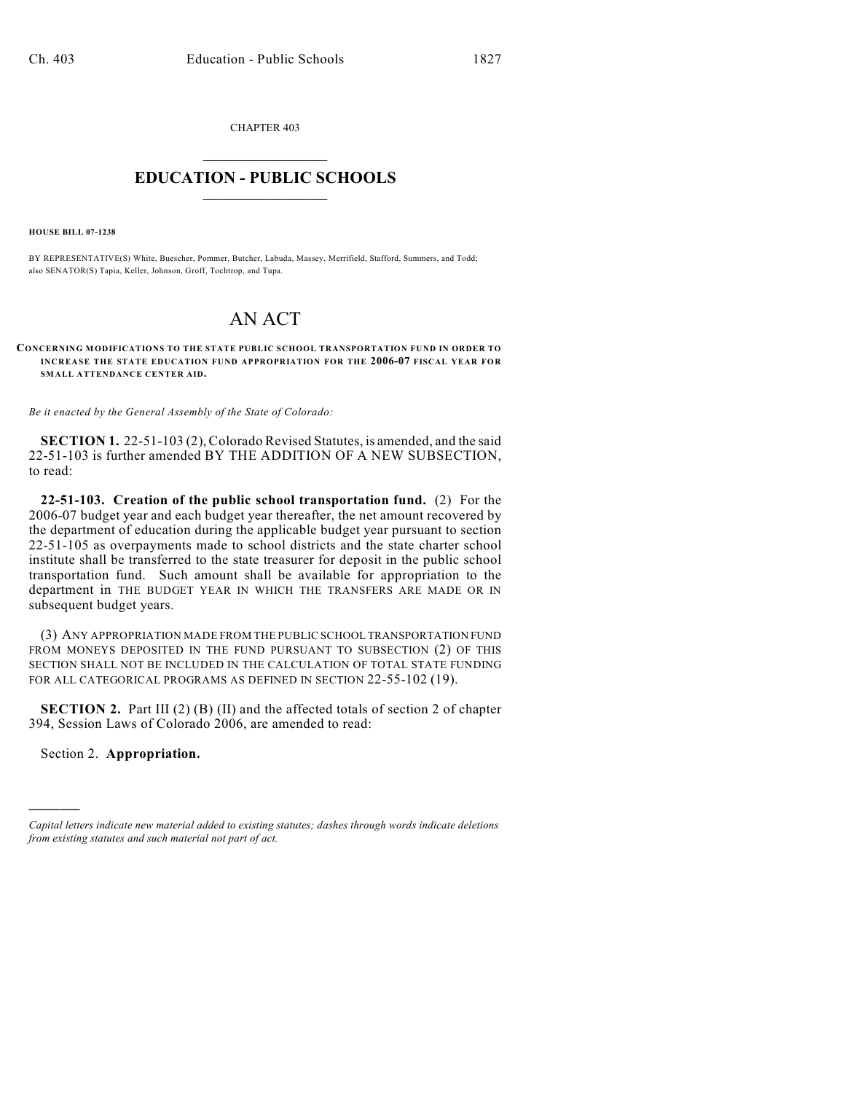CHAPTER 403  $\mathcal{L}_\text{max}$  . The set of the set of the set of the set of the set of the set of the set of the set of the set of the set of the set of the set of the set of the set of the set of the set of the set of the set of the set

## **EDUCATION - PUBLIC SCHOOLS**  $\_$   $\_$   $\_$   $\_$   $\_$   $\_$   $\_$   $\_$   $\_$

**HOUSE BILL 07-1238**

BY REPRESENTATIVE(S) White, Buescher, Pommer, Butcher, Labuda, Massey, Merrifield, Stafford, Summers, and Todd; also SENATOR(S) Tapia, Keller, Johnson, Groff, Tochtrop, and Tupa.

## AN ACT

## **CONCERNING MODIFICATIONS TO THE STATE PUBLIC SCHOOL TRANSPORTATION FUND IN ORDER TO INCREASE THE STATE EDUCATION FUND APPROPRIATION FOR THE 2006-07 FISCAL YEAR FOR SMALL ATTENDANCE CENTER AID.**

*Be it enacted by the General Assembly of the State of Colorado:*

**SECTION 1.** 22-51-103 (2), Colorado Revised Statutes, is amended, and the said 22-51-103 is further amended BY THE ADDITION OF A NEW SUBSECTION, to read:

**22-51-103. Creation of the public school transportation fund.** (2) For the 2006-07 budget year and each budget year thereafter, the net amount recovered by the department of education during the applicable budget year pursuant to section 22-51-105 as overpayments made to school districts and the state charter school institute shall be transferred to the state treasurer for deposit in the public school transportation fund. Such amount shall be available for appropriation to the department in THE BUDGET YEAR IN WHICH THE TRANSFERS ARE MADE OR IN subsequent budget years.

(3) ANY APPROPRIATION MADE FROM THE PUBLIC SCHOOL TRANSPORTATION FUND FROM MONEYS DEPOSITED IN THE FUND PURSUANT TO SUBSECTION (2) OF THIS SECTION SHALL NOT BE INCLUDED IN THE CALCULATION OF TOTAL STATE FUNDING FOR ALL CATEGORICAL PROGRAMS AS DEFINED IN SECTION 22-55-102 (19).

**SECTION 2.** Part III (2) (B) (II) and the affected totals of section 2 of chapter 394, Session Laws of Colorado 2006, are amended to read:

Section 2. **Appropriation.**

)))))

*Capital letters indicate new material added to existing statutes; dashes through words indicate deletions from existing statutes and such material not part of act.*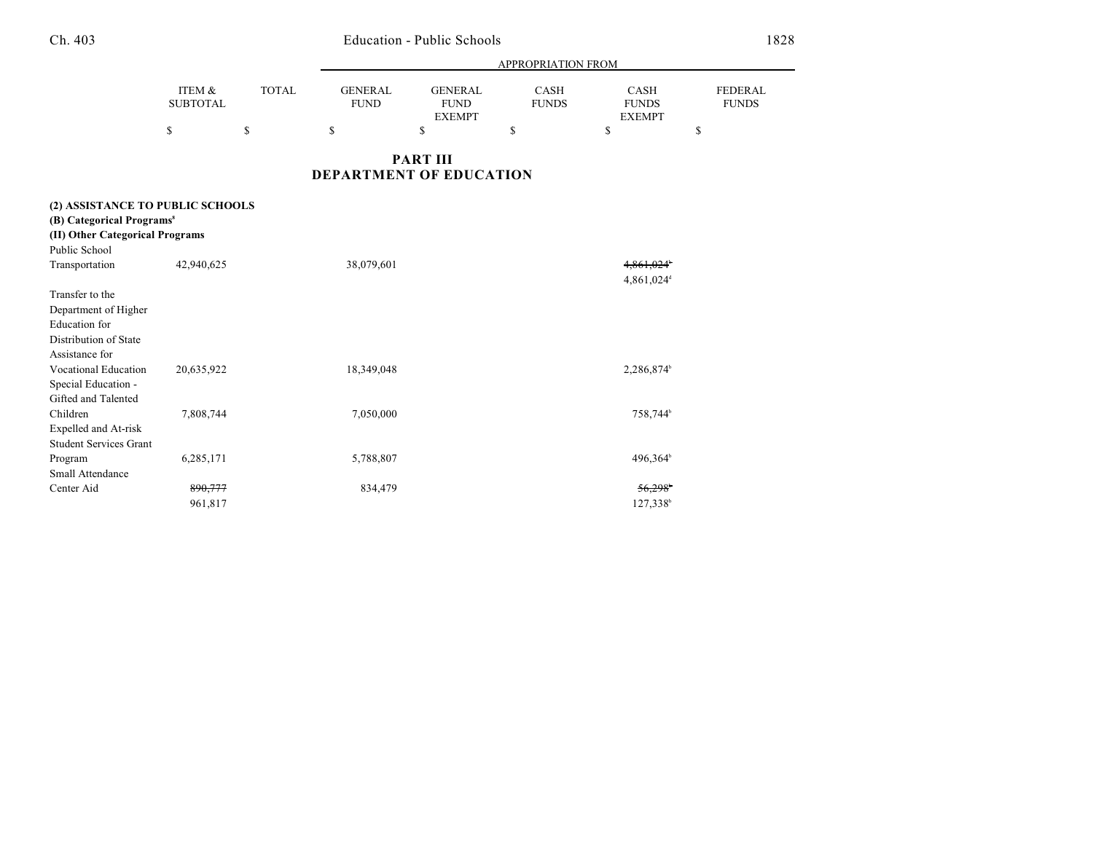## Ch. 403 Education - Public Schools 1828

|                                                                                                                               |                           |              | <b>APPROPRIATION FROM</b>      |                                                |                      |                                       |                                |  |
|-------------------------------------------------------------------------------------------------------------------------------|---------------------------|--------------|--------------------------------|------------------------------------------------|----------------------|---------------------------------------|--------------------------------|--|
|                                                                                                                               | ITEM &<br><b>SUBTOTAL</b> | <b>TOTAL</b> | <b>GENERAL</b><br><b>FUND</b>  | <b>GENERAL</b><br><b>FUND</b><br><b>EXEMPT</b> | CASH<br><b>FUNDS</b> | CASH<br><b>FUNDS</b><br><b>EXEMPT</b> | <b>FEDERAL</b><br><b>FUNDS</b> |  |
|                                                                                                                               | \$                        | \$           | \$                             | \$                                             | \$                   | \$                                    | \$                             |  |
|                                                                                                                               |                           |              | <b>DEPARTMENT OF EDUCATION</b> | <b>PART III</b>                                |                      |                                       |                                |  |
| (2) ASSISTANCE TO PUBLIC SCHOOLS<br>(B) Categorical Programs <sup>8</sup><br>(II) Other Categorical Programs<br>Public School |                           |              |                                |                                                |                      |                                       |                                |  |
| Transportation                                                                                                                | 42,940,625                |              | 38,079,601                     |                                                |                      | 4,861,024                             |                                |  |
| Transfer to the<br>Department of Higher<br>Education for<br>Distribution of State                                             |                           |              |                                |                                                |                      | 4,861,024 <sup>d</sup>                |                                |  |
| Assistance for<br><b>Vocational Education</b><br>Special Education -<br>Gifted and Talented                                   | 20,635,922                |              | 18,349,048                     |                                                |                      | 2,286,874                             |                                |  |
| Children<br>Expelled and At-risk<br><b>Student Services Grant</b>                                                             | 7,808,744                 |              | 7,050,000                      |                                                |                      | 758,744 <sup>b</sup>                  |                                |  |
| Program<br>Small Attendance                                                                                                   | 6,285,171                 |              | 5,788,807                      |                                                |                      | 496,364 <sup>b</sup>                  |                                |  |
| Center Aid                                                                                                                    | 890,777<br>961,817        |              | 834,479                        |                                                |                      | 56.298<br>127,338b                    |                                |  |